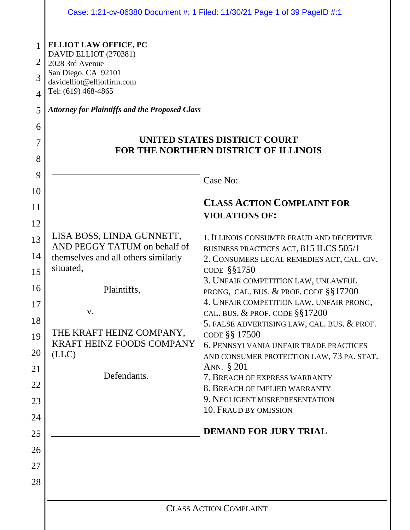|                                                                                                                                                 | Case: 1:21-cv-06380 Document #: 1 Filed: 11/30/21 Page 1 of 39 PageID #:1                                                                                                                                                                                                                                                                                                                                                                   |                                                                                                                                                                                                                                                                                                                                                                                                                                                                                                                                                                                                                                                                                                                                                                                                    |  |
|-------------------------------------------------------------------------------------------------------------------------------------------------|---------------------------------------------------------------------------------------------------------------------------------------------------------------------------------------------------------------------------------------------------------------------------------------------------------------------------------------------------------------------------------------------------------------------------------------------|----------------------------------------------------------------------------------------------------------------------------------------------------------------------------------------------------------------------------------------------------------------------------------------------------------------------------------------------------------------------------------------------------------------------------------------------------------------------------------------------------------------------------------------------------------------------------------------------------------------------------------------------------------------------------------------------------------------------------------------------------------------------------------------------------|--|
| 1<br>2<br>3<br>4<br>5<br>6<br>7<br>8<br>9<br>10<br>11<br>12<br>13<br>14<br>15<br>16<br>17<br>18<br>19<br>20<br>21<br>22<br>23<br>24<br>25<br>26 | <b>ELLIOT LAW OFFICE, PC</b><br>DAVID ELLIOT (270381)<br>2028 3rd Avenue<br>San Diego, CA 92101<br>davidelliot@elliotfirm.com<br>Tel: (619) 468-4865<br><b>Attorney for Plaintiffs and the Proposed Class</b><br>LISA BOSS, LINDA GUNNETT,<br>AND PEGGY TATUM on behalf of<br>themselves and all others similarly<br>situated,<br>Plaintiffs,<br>V.<br>THE KRAFT HEINZ COMPANY,<br><b>KRAFT HEINZ FOODS COMPANY</b><br>(LLC)<br>Defendants. | UNITED STATES DISTRICT COURT<br>FOR THE NORTHERN DISTRICT OF ILLINOIS<br>Case No:<br><b>CLASS ACTION COMPLAINT FOR</b><br><b>VIOLATIONS OF:</b><br>1. ILLINOIS CONSUMER FRAUD AND DECEPTIVE<br>BUSINESS PRACTICES ACT, 815 ILCS 505/1<br>2. CONSUMERS LEGAL REMEDIES ACT, CAL. CIV.<br>CODE §§1750<br>3. UNFAIR COMPETITION LAW, UNLAWFUL<br>PRONG, CAL. BUS. & PROF. CODE §§17200<br>4. UNFAIR COMPETITION LAW, UNFAIR PRONG,<br>CAL. BUS. & PROF. CODE §§17200<br>5. FALSE ADVERTISING LAW, CAL. BUS. & PROF.<br>CODE §§ 17500<br>6. PENNSYLVANIA UNFAIR TRADE PRACTICES<br>AND CONSUMER PROTECTION LAW, 73 PA. STAT.<br>ANN. § 201<br>7. BREACH OF EXPRESS WARRANTY<br>8. BREACH OF IMPLIED WARRANTY<br>9. NEGLIGENT MISREPRESENTATION<br>10. FRAUD BY OMISSION<br><b>DEMAND FOR JURY TRIAL</b> |  |
| 27                                                                                                                                              |                                                                                                                                                                                                                                                                                                                                                                                                                                             |                                                                                                                                                                                                                                                                                                                                                                                                                                                                                                                                                                                                                                                                                                                                                                                                    |  |
| 28                                                                                                                                              |                                                                                                                                                                                                                                                                                                                                                                                                                                             |                                                                                                                                                                                                                                                                                                                                                                                                                                                                                                                                                                                                                                                                                                                                                                                                    |  |
|                                                                                                                                                 | <b>CLASS ACTION COMPLAINT</b>                                                                                                                                                                                                                                                                                                                                                                                                               |                                                                                                                                                                                                                                                                                                                                                                                                                                                                                                                                                                                                                                                                                                                                                                                                    |  |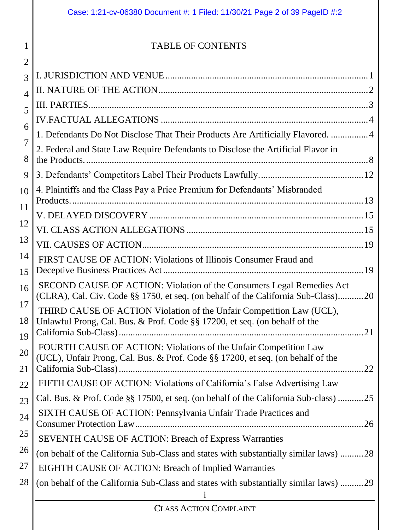|                                                                                                                                                    | Case: 1:21-cv-06380 Document #: 1 Filed: 11/30/21 Page 2 of 39 PageID #:2                                                                                                                                                                                                                                                                                                                                                                                                                                                                                                                                                                                                                                                                                                                                                                                                                                                                                                      |  |
|----------------------------------------------------------------------------------------------------------------------------------------------------|--------------------------------------------------------------------------------------------------------------------------------------------------------------------------------------------------------------------------------------------------------------------------------------------------------------------------------------------------------------------------------------------------------------------------------------------------------------------------------------------------------------------------------------------------------------------------------------------------------------------------------------------------------------------------------------------------------------------------------------------------------------------------------------------------------------------------------------------------------------------------------------------------------------------------------------------------------------------------------|--|
| 1                                                                                                                                                  | <b>TABLE OF CONTENTS</b>                                                                                                                                                                                                                                                                                                                                                                                                                                                                                                                                                                                                                                                                                                                                                                                                                                                                                                                                                       |  |
| 2<br>3<br>$\overline{4}$<br>5<br>6<br>$\overline{7}$<br>8<br>9<br>10<br>11<br>12<br>13<br>14<br>15<br>16<br>17<br>18<br>19<br>20<br>21<br>22<br>23 | 1. Defendants Do Not Disclose That Their Products Are Artificially Flavored.  4<br>2. Federal and State Law Require Defendants to Disclose the Artificial Flavor in<br>4. Plaintiffs and the Class Pay a Price Premium for Defendants' Misbranded<br>FIRST CAUSE OF ACTION: Violations of Illinois Consumer Fraud and<br>SECOND CAUSE OF ACTION: Violation of the Consumers Legal Remedies Act<br>(CLRA), Cal. Civ. Code §§ 1750, et seq. (on behalf of the California Sub-Class)20<br>THIRD CAUSE OF ACTION Violation of the Unfair Competition Law (UCL),<br>Unlawful Prong, Cal. Bus. & Prof. Code §§ 17200, et seq. (on behalf of the<br>21<br>FOURTH CAUSE OF ACTION: Violations of the Unfair Competition Law<br>(UCL), Unfair Prong, Cal. Bus. & Prof. Code §§ 17200, et seq. (on behalf of the<br>22<br>FIFTH CAUSE OF ACTION: Violations of California's False Advertising Law<br>Cal. Bus. & Prof. Code §§ 17500, et seq. (on behalf of the California Sub-class) 25 |  |
| 24<br>25                                                                                                                                           | SIXTH CAUSE OF ACTION: Pennsylvania Unfair Trade Practices and<br><b>SEVENTH CAUSE OF ACTION: Breach of Express Warranties</b>                                                                                                                                                                                                                                                                                                                                                                                                                                                                                                                                                                                                                                                                                                                                                                                                                                                 |  |
| 26<br>27<br>28                                                                                                                                     | (on behalf of the California Sub-Class and states with substantially similar laws) 28<br>EIGHTH CAUSE OF ACTION: Breach of Implied Warranties<br>(on behalf of the California Sub-Class and states with substantially similar laws) 29                                                                                                                                                                                                                                                                                                                                                                                                                                                                                                                                                                                                                                                                                                                                         |  |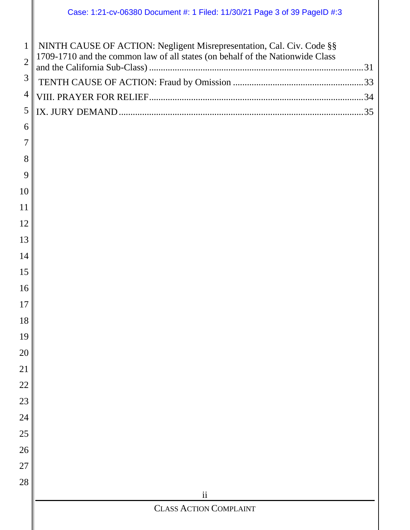| $6 \mid$ |  |
|----------|--|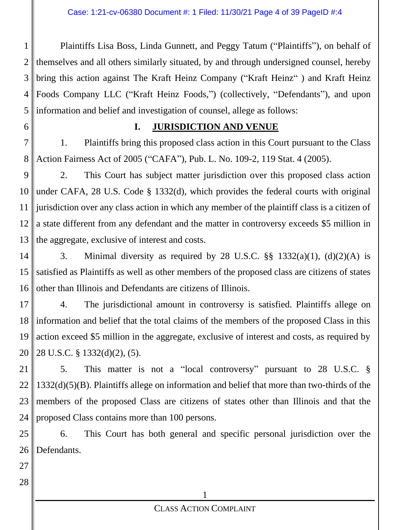1 2 3 4 5 Plaintiffs Lisa Boss, Linda Gunnett, and Peggy Tatum ("Plaintiffs"), on behalf of themselves and all others similarly situated, by and through undersigned counsel, hereby bring this action against The Kraft Heinz Company ("Kraft Heinz" ) and Kraft Heinz Foods Company LLC ("Kraft Heinz Foods,") (collectively, "Defendants"), and upon information and belief and investigation of counsel, allege as follows:

6

#### **I. JURISDICTION AND VENUE**

7 8 1. Plaintiffs bring this proposed class action in this Court pursuant to the Class Action Fairness Act of 2005 ("CAFA"), Pub. L. No. 109-2, 119 Stat. 4 (2005).

9 10 11 12 13 2. This Court has subject matter jurisdiction over this proposed class action under CAFA, 28 U.S. Code § 1332(d), which provides the federal courts with original jurisdiction over any class action in which any member of the plaintiff class is a citizen of a state different from any defendant and the matter in controversy exceeds \$5 million in the aggregate, exclusive of interest and costs.

14 15 16 3. Minimal diversity as required by 28 U.S.C.  $\S$ § 1332(a)(1), (d)(2)(A) is satisfied as Plaintiffs as well as other members of the proposed class are citizens of states other than Illinois and Defendants are citizens of Illinois.

17 18 19 20 4. The jurisdictional amount in controversy is satisfied. Plaintiffs allege on information and belief that the total claims of the members of the proposed Class in this action exceed \$5 million in the aggregate, exclusive of interest and costs, as required by 28 U.S.C. § 1332(d)(2), (5).

21 22 23 24 5. This matter is not a "local controversy" pursuant to 28 U.S.C. § 1332(d)(5)(B). Plaintiffs allege on information and belief that more than two-thirds of the members of the proposed Class are citizens of states other than Illinois and that the proposed Class contains more than 100 persons.

25 26 6. This Court has both general and specific personal jurisdiction over the Defendants.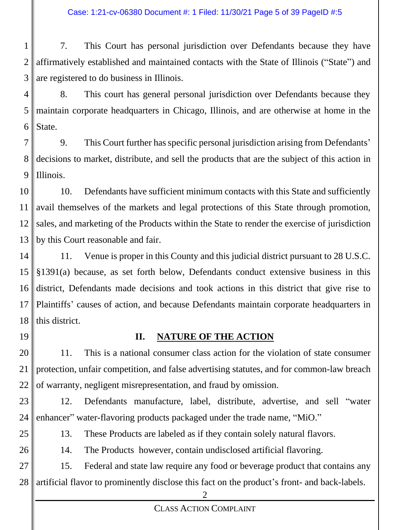1 2 3 7. This Court has personal jurisdiction over Defendants because they have affirmatively established and maintained contacts with the State of Illinois ("State") and are registered to do business in Illinois.

4 5 6 8. This court has general personal jurisdiction over Defendants because they maintain corporate headquarters in Chicago, Illinois, and are otherwise at home in the State.

7 8 9 9. This Court further has specific personal jurisdiction arising from Defendants' decisions to market, distribute, and sell the products that are the subject of this action in Illinois.

10 11 12 13 10. Defendants have sufficient minimum contacts with this State and sufficiently avail themselves of the markets and legal protections of this State through promotion, sales, and marketing of the Products within the State to render the exercise of jurisdiction by this Court reasonable and fair.

14 15 16 17 18 11. Venue is proper in this County and this judicial district pursuant to 28 U.S.C. §1391(a) because, as set forth below, Defendants conduct extensive business in this district, Defendants made decisions and took actions in this district that give rise to Plaintiffs' causes of action, and because Defendants maintain corporate headquarters in this district.

19

#### **II. NATURE OF THE ACTION**

20 21 22 11. This is a national consumer class action for the violation of state consumer protection, unfair competition, and false advertising statutes, and for common-law breach of warranty, negligent misrepresentation, and fraud by omission.

23

12. Defendants manufacture, label, distribute, advertise, and sell "water enhancer" water-flavoring products packaged under the trade name, "MiO."

13. These Products are labeled as if they contain solely natural flavors.

26

24

25

14. The Products however, contain undisclosed artificial flavoring.

27 28 15. Federal and state law require any food or beverage product that contains any artificial flavor to prominently disclose this fact on the product's front- and back-labels.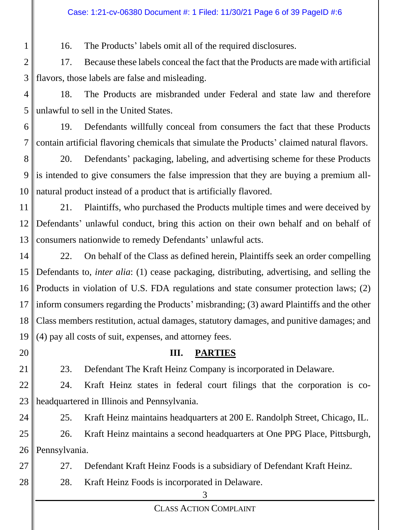16. The Products' labels omit all of the required disclosures.

2 3 17. Because these labels conceal the fact that the Products are made with artificial flavors, those labels are false and misleading.

4 5 18. The Products are misbranded under Federal and state law and therefore unlawful to sell in the United States.

6 7 19. Defendants willfully conceal from consumers the fact that these Products contain artificial flavoring chemicals that simulate the Products' claimed natural flavors.

8 9 10 20. Defendants' packaging, labeling, and advertising scheme for these Products is intended to give consumers the false impression that they are buying a premium allnatural product instead of a product that is artificially flavored.

11 12 13 21. Plaintiffs, who purchased the Products multiple times and were deceived by Defendants' unlawful conduct, bring this action on their own behalf and on behalf of consumers nationwide to remedy Defendants' unlawful acts.

14 15 16 17 18 19 22. On behalf of the Class as defined herein, Plaintiffs seek an order compelling Defendants to, *inter alia*: (1) cease packaging, distributing, advertising, and selling the Products in violation of U.S. FDA regulations and state consumer protection laws; (2) inform consumers regarding the Products' misbranding; (3) award Plaintiffs and the other Class members restitution, actual damages, statutory damages, and punitive damages; and (4) pay all costs of suit, expenses, and attorney fees.

20

1

21

24

27

28

23. Defendant The Kraft Heinz Company is incorporated in Delaware.

**III. PARTIES**

22 23 24. Kraft Heinz states in federal court filings that the corporation is coheadquartered in Illinois and Pennsylvania.

25. Kraft Heinz maintains headquarters at 200 E. Randolph Street, Chicago, IL.

25 26 26. Kraft Heinz maintains a second headquarters at One PPG Place, Pittsburgh, Pennsylvania.

27. Defendant Kraft Heinz Foods is a subsidiary of Defendant Kraft Heinz.

28. Kraft Heinz Foods is incorporated in Delaware.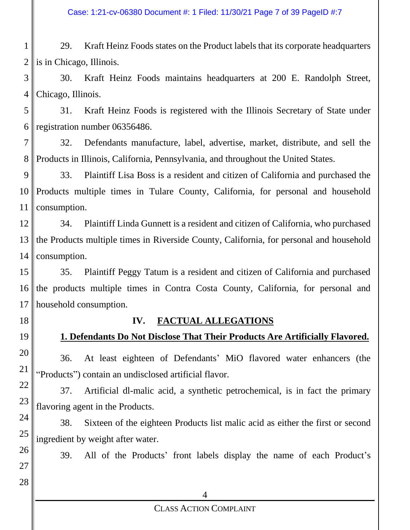#### Case: 1:21-cv-06380 Document #: 1 Filed: 11/30/21 Page 7 of 39 PageID #:7

1 2 29. Kraft Heinz Foods states on the Product labels that its corporate headquarters is in Chicago, Illinois.

3 4 30. Kraft Heinz Foods maintains headquarters at 200 E. Randolph Street, Chicago, Illinois.

5 6 31. Kraft Heinz Foods is registered with the Illinois Secretary of State under registration number 06356486.

7 8 32. Defendants manufacture, label, advertise, market, distribute, and sell the Products in Illinois, California, Pennsylvania, and throughout the United States.

9 10 11 33. Plaintiff Lisa Boss is a resident and citizen of California and purchased the Products multiple times in Tulare County, California, for personal and household consumption.

12 13 14 34. Plaintiff Linda Gunnett is a resident and citizen of California, who purchased the Products multiple times in Riverside County, California, for personal and household consumption.

15 16 17 35. Plaintiff Peggy Tatum is a resident and citizen of California and purchased the products multiple times in Contra Costa County, California, for personal and household consumption.

18

19

26

27

28

**IV. FACTUAL ALLEGATIONS**

### **1. Defendants Do Not Disclose That Their Products Are Artificially Flavored.**

20 21 36. At least eighteen of Defendants' MiO flavored water enhancers (the "Products") contain an undisclosed artificial flavor.

22 23 37. Artificial dl-malic acid, a synthetic petrochemical, is in fact the primary flavoring agent in the Products.

24 25 38. Sixteen of the eighteen Products list malic acid as either the first or second ingredient by weight after water.

39. All of the Products' front labels display the name of each Product's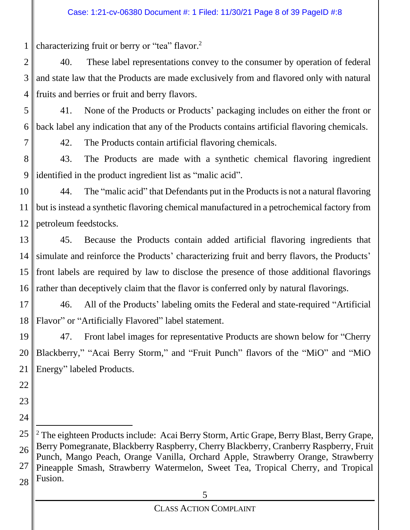1 characterizing fruit or berry or "tea" flavor.<sup>2</sup>

2 3 4 40. These label representations convey to the consumer by operation of federal and state law that the Products are made exclusively from and flavored only with natural fruits and berries or fruit and berry flavors.

5 6 41. None of the Products or Products' packaging includes on either the front or back label any indication that any of the Products contains artificial flavoring chemicals.

7

42. The Products contain artificial flavoring chemicals.

8 9 43. The Products are made with a synthetic chemical flavoring ingredient identified in the product ingredient list as "malic acid".

10 11 12 44. The "malic acid" that Defendants put in the Products is not a natural flavoring but is instead a synthetic flavoring chemical manufactured in a petrochemical factory from petroleum feedstocks.

13 14 15 16 45. Because the Products contain added artificial flavoring ingredients that simulate and reinforce the Products' characterizing fruit and berry flavors, the Products' front labels are required by law to disclose the presence of those additional flavorings rather than deceptively claim that the flavor is conferred only by natural flavorings.

17 18 46. All of the Products' labeling omits the Federal and state-required "Artificial Flavor" or "Artificially Flavored" label statement.

19 20 21 47. Front label images for representative Products are shown below for "Cherry Blackberry," "Acai Berry Storm," and "Fruit Punch" flavors of the "MiO" and "MiO Energy" labeled Products.

- 22
- 23
- 24

25 26 27 28  $2$  The eighteen Products include: Acai Berry Storm, Artic Grape, Berry Blast, Berry Grape, Berry Pomegranate, Blackberry Raspberry, Cherry Blackberry, Cranberry Raspberry, Fruit Punch, Mango Peach, Orange Vanilla, Orchard Apple, Strawberry Orange, Strawberry Pineapple Smash, Strawberry Watermelon, Sweet Tea, Tropical Cherry, and Tropical Fusion.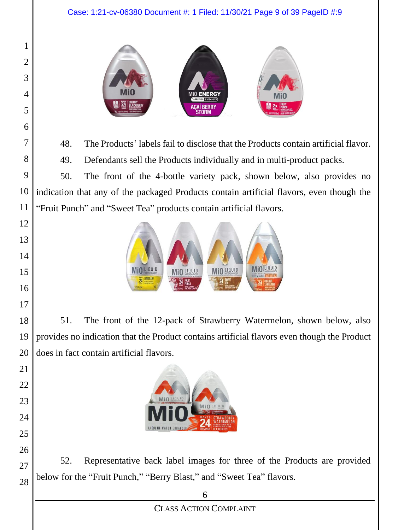



48. The Products' labels fail to disclose that the Products contain artificial flavor.

49. Defendants sell the Products individually and in multi-product packs.

 50. The front of the 4-bottle variety pack, shown below, also provides no indication that any of the packaged Products contain artificial flavors, even though the "Fruit Punch" and "Sweet Tea" products contain artificial flavors.



 51. The front of the 12-pack of Strawberry Watermelon, shown below, also provides no indication that the Product contains artificial flavors even though the Product does in fact contain artificial flavors.



52. Representative back label images for three of the Products are provided below for the "Fruit Punch," "Berry Blast," and "Sweet Tea" flavors.

CLASS ACTION COMPLAINT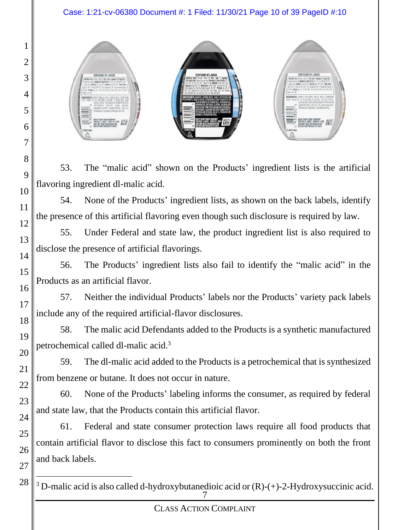Case: 1:21-cv-06380 Document #: 1 Filed: 11/30/21 Page 10 of 39 PageID #:10



53. The "malic acid" shown on the Products' ingredient lists is the artificial flavoring ingredient dl-malic acid.

54. None of the Products' ingredient lists, as shown on the back labels, identify the presence of this artificial flavoring even though such disclosure is required by law.

55. Under Federal and state law, the product ingredient list is also required to disclose the presence of artificial flavorings.

56. The Products' ingredient lists also fail to identify the "malic acid" in the Products as an artificial flavor.

57. Neither the individual Products' labels nor the Products' variety pack labels include any of the required artificial-flavor disclosures.

58. The malic acid Defendants added to the Products is a synthetic manufactured petrochemical called dl-malic acid.<sup>3</sup>

59. The dl-malic acid added to the Products is a petrochemical that is synthesized from benzene or butane. It does not occur in nature.

60. None of the Products' labeling informs the consumer, as required by federal and state law, that the Products contain this artificial flavor.

61. Federal and state consumer protection laws require all food products that contain artificial flavor to disclose this fact to consumers prominently on both the front and back labels.

7  $3$  D-malic acid is also called d-hydroxybutanedioic acid or  $(R)-(+)$ -2-Hydroxysuccinic acid.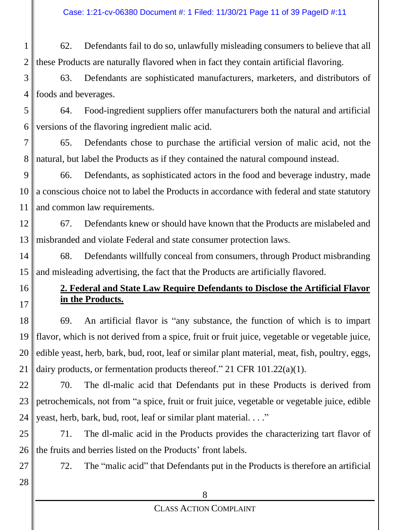1 2 62. Defendants fail to do so, unlawfully misleading consumers to believe that all these Products are naturally flavored when in fact they contain artificial flavoring.

3 4 63. Defendants are sophisticated manufacturers, marketers, and distributors of foods and beverages.

5 6 64. Food-ingredient suppliers offer manufacturers both the natural and artificial versions of the flavoring ingredient malic acid.

7 8 65. Defendants chose to purchase the artificial version of malic acid, not the natural, but label the Products as if they contained the natural compound instead.

9 10 11 66. Defendants, as sophisticated actors in the food and beverage industry, made a conscious choice not to label the Products in accordance with federal and state statutory and common law requirements.

12 13 67. Defendants knew or should have known that the Products are mislabeled and misbranded and violate Federal and state consumer protection laws.

14 15 68. Defendants willfully conceal from consumers, through Product misbranding and misleading advertising, the fact that the Products are artificially flavored.

# **2. Federal and State Law Require Defendants to Disclose the Artificial Flavor in the Products.**

18 19 20 21 69. An artificial flavor is "any substance, the function of which is to impart flavor, which is not derived from a spice, fruit or fruit juice, vegetable or vegetable juice, edible yeast, herb, bark, bud, root, leaf or similar plant material, meat, fish, poultry, eggs, dairy products, or fermentation products thereof." 21 CFR 101.22(a)(1).

22 23 24 70. The dl-malic acid that Defendants put in these Products is derived from petrochemicals, not from "a spice, fruit or fruit juice, vegetable or vegetable juice, edible yeast, herb, bark, bud, root, leaf or similar plant material. . . ."

25 26 71. The dl-malic acid in the Products provides the characterizing tart flavor of the fruits and berries listed on the Products' front labels.

72. The "malic acid" that Defendants put in the Products is therefore an artificial

28

27

16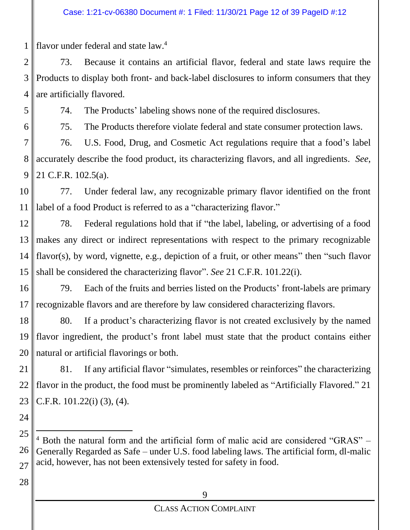1 flavor under federal and state law.<sup>4</sup>

2 3 4 73. Because it contains an artificial flavor, federal and state laws require the Products to display both front- and back-label disclosures to inform consumers that they are artificially flavored.

5

74. The Products' labeling shows none of the required disclosures.

6

75. The Products therefore violate federal and state consumer protection laws.

7 8 9 76. U.S. Food, Drug, and Cosmetic Act regulations require that a food's label accurately describe the food product, its characterizing flavors, and all ingredients. *See*, 21 C.F.R. 102.5(a).

10 11 77. Under federal law, any recognizable primary flavor identified on the front label of a food Product is referred to as a "characterizing flavor."

12 13 14 15 78. Federal regulations hold that if "the label, labeling, or advertising of a food makes any direct or indirect representations with respect to the primary recognizable flavor(s), by word, vignette, e.g., depiction of a fruit, or other means" then "such flavor shall be considered the characterizing flavor". *See* 21 C.F.R. 101.22(i).

16 17 79. Each of the fruits and berries listed on the Products' front-labels are primary recognizable flavors and are therefore by law considered characterizing flavors.

18 19 20 80. If a product's characterizing flavor is not created exclusively by the named flavor ingredient, the product's front label must state that the product contains either natural or artificial flavorings or both.

21 22 23 81. If any artificial flavor "simulates, resembles or reinforces" the characterizing flavor in the product, the food must be prominently labeled as "Artificially Flavored." 21 C.F.R. 101.22(i) (3), (4).

24

<sup>25</sup> 26 27 <sup>4</sup> Both the natural form and the artificial form of malic acid are considered "GRAS" – Generally Regarded as Safe – under U.S. food labeling laws. The artificial form, dl-malic acid, however, has not been extensively tested for safety in food.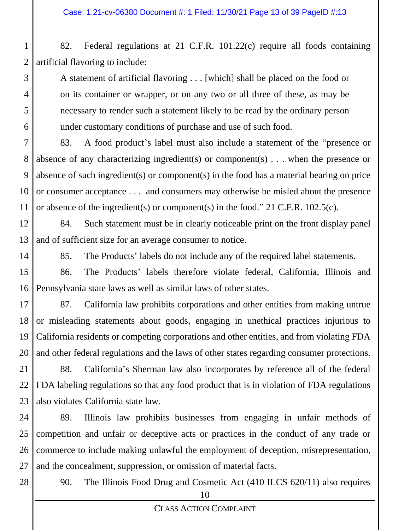1 2 82. Federal regulations at 21 C.F.R. 101.22(c) require all foods containing artificial flavoring to include:

A statement of artificial flavoring . . . [which] shall be placed on the food or on its container or wrapper, or on any two or all three of these, as may be necessary to render such a statement likely to be read by the ordinary person under customary conditions of purchase and use of such food.

7 8 9 10 11 83. A food product's label must also include a statement of the "presence or absence of any characterizing ingredient(s) or component(s)  $\ldots$  when the presence or absence of such ingredient(s) or component(s) in the food has a material bearing on price or consumer acceptance . . . and consumers may otherwise be misled about the presence or absence of the ingredient(s) or component(s) in the food." 21 C.F.R. 102.5(c).

12 13 84. Such statement must be in clearly noticeable print on the front display panel and of sufficient size for an average consumer to notice.

14

3

4

5

6

85. The Products' labels do not include any of the required label statements.

15 16 86. The Products' labels therefore violate federal, California, Illinois and Pennsylvania state laws as well as similar laws of other states.

17 18 19 20 87. California law prohibits corporations and other entities from making untrue or misleading statements about goods, engaging in unethical practices injurious to California residents or competing corporations and other entities, and from violating FDA and other federal regulations and the laws of other states regarding consumer protections.

21 22 23 88. California's Sherman law also incorporates by reference all of the federal FDA labeling regulations so that any food product that is in violation of FDA regulations also violates California state law.

24 25 26 27 89. Illinois law prohibits businesses from engaging in unfair methods of competition and unfair or deceptive acts or practices in the conduct of any trade or commerce to include making unlawful the employment of deception, misrepresentation, and the concealment, suppression, or omission of material facts.

28

90. The Illinois Food Drug and Cosmetic Act (410 ILCS 620/11) also requires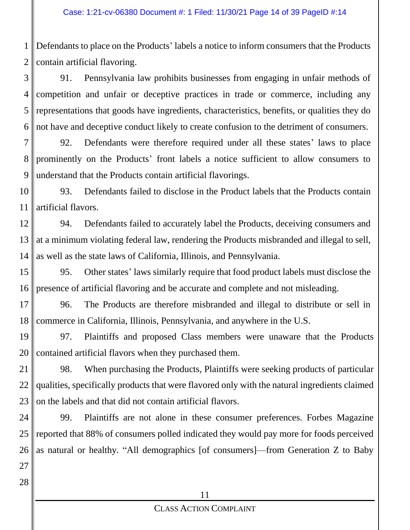1 2 Defendants to place on the Products' labels a notice to inform consumers that the Products contain artificial flavoring.

3 4 5 6 91. Pennsylvania law prohibits businesses from engaging in unfair methods of competition and unfair or deceptive practices in trade or commerce, including any representations that goods have ingredients, characteristics, benefits, or qualities they do not have and deceptive conduct likely to create confusion to the detriment of consumers.

7 8 9 92. Defendants were therefore required under all these states' laws to place prominently on the Products' front labels a notice sufficient to allow consumers to understand that the Products contain artificial flavorings.

10 11 93. Defendants failed to disclose in the Product labels that the Products contain artificial flavors.

12 13 14 94. Defendants failed to accurately label the Products, deceiving consumers and at a minimum violating federal law, rendering the Products misbranded and illegal to sell, as well as the state laws of California, Illinois, and Pennsylvania.

15 16 95. Other states' laws similarly require that food product labels must disclose the presence of artificial flavoring and be accurate and complete and not misleading.

17 18 96. The Products are therefore misbranded and illegal to distribute or sell in commerce in California, Illinois, Pennsylvania, and anywhere in the U.S.

19 20 97. Plaintiffs and proposed Class members were unaware that the Products contained artificial flavors when they purchased them.

21 22 23 98. When purchasing the Products, Plaintiffs were seeking products of particular qualities, specifically products that were flavored only with the natural ingredients claimed on the labels and that did not contain artificial flavors.

24 25 26 99. Plaintiffs are not alone in these consumer preferences. Forbes Magazine reported that 88% of consumers polled indicated they would pay more for foods perceived as natural or healthy. "All demographics [of consumers]—from Generation Z to Baby

28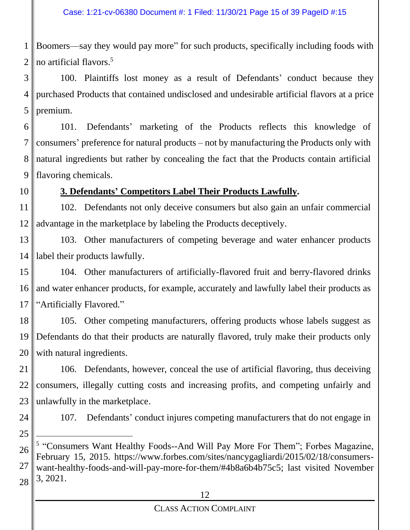1 2 Boomers—say they would pay more" for such products, specifically including foods with no artificial flavors.<sup>5</sup>

3 4 5 100. Plaintiffs lost money as a result of Defendants' conduct because they purchased Products that contained undisclosed and undesirable artificial flavors at a price premium.

6 7 8 9 101. Defendants' marketing of the Products reflects this knowledge of consumers' preference for natural products – not by manufacturing the Products only with natural ingredients but rather by concealing the fact that the Products contain artificial flavoring chemicals.

10

# **3. Defendants' Competitors Label Their Products Lawfully.**

11 12 102. Defendants not only deceive consumers but also gain an unfair commercial advantage in the marketplace by labeling the Products deceptively.

13 14 103. Other manufacturers of competing beverage and water enhancer products label their products lawfully.

15 16 17 104. Other manufacturers of artificially-flavored fruit and berry-flavored drinks and water enhancer products, for example, accurately and lawfully label their products as "Artificially Flavored."

18 19 20 105. Other competing manufacturers, offering products whose labels suggest as Defendants do that their products are naturally flavored, truly make their products only with natural ingredients.

21 22 23 106. Defendants, however, conceal the use of artificial flavoring, thus deceiving consumers, illegally cutting costs and increasing profits, and competing unfairly and unlawfully in the marketplace.

24 25 107. Defendants' conduct injures competing manufacturers that do not engage in

26 27 28 <sup>5</sup> "Consumers Want Healthy Foods--And Will Pay More For Them"; Forbes Magazine, February 15, 2015. https://www.forbes.com/sites/nancygagliardi/2015/02/18/consumerswant-healthy-foods-and-will-pay-more-for-them/#4b8a6b4b75c5; last visited November 3, 2021.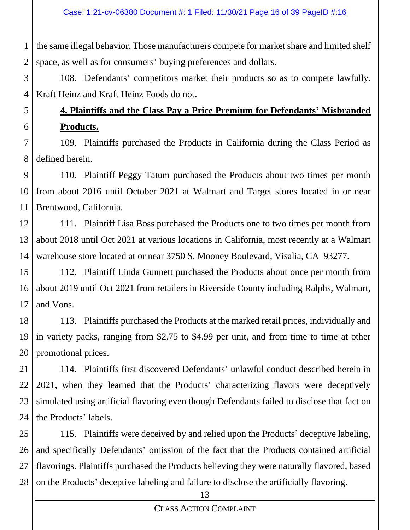1 2 the same illegal behavior. Those manufacturers compete for market share and limited shelf space, as well as for consumers' buying preferences and dollars.

3 4 108. Defendants' competitors market their products so as to compete lawfully. Kraft Heinz and Kraft Heinz Foods do not.

#### 6 **4. Plaintiffs and the Class Pay a Price Premium for Defendants' Misbranded Products.**

5

7 8 109. Plaintiffs purchased the Products in California during the Class Period as defined herein.

9 10 11 110. Plaintiff Peggy Tatum purchased the Products about two times per month from about 2016 until October 2021 at Walmart and Target stores located in or near Brentwood, California.

12 13 14 111. Plaintiff Lisa Boss purchased the Products one to two times per month from about 2018 until Oct 2021 at various locations in California, most recently at a Walmart warehouse store located at or near 3750 S. Mooney Boulevard, Visalia, CA 93277.

15 16 17 112. Plaintiff Linda Gunnett purchased the Products about once per month from about 2019 until Oct 2021 from retailers in Riverside County including Ralphs, Walmart, and Vons.

18 19 20 113. Plaintiffs purchased the Products at the marked retail prices, individually and in variety packs, ranging from \$2.75 to \$4.99 per unit, and from time to time at other promotional prices.

21 22 23 24 114. Plaintiffs first discovered Defendants' unlawful conduct described herein in 2021, when they learned that the Products' characterizing flavors were deceptively simulated using artificial flavoring even though Defendants failed to disclose that fact on the Products' labels.

25 26 27 28 115. Plaintiffs were deceived by and relied upon the Products' deceptive labeling, and specifically Defendants' omission of the fact that the Products contained artificial flavorings. Plaintiffs purchased the Products believing they were naturally flavored, based on the Products' deceptive labeling and failure to disclose the artificially flavoring.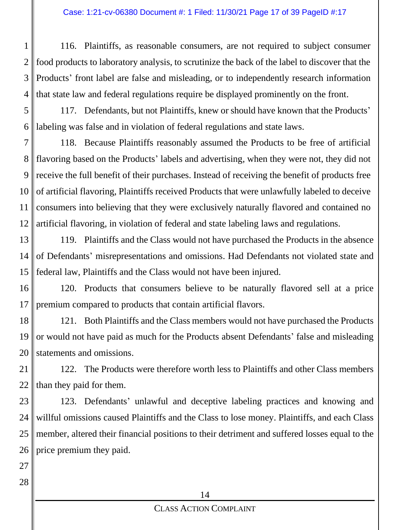1 2 3 4 116. Plaintiffs, as reasonable consumers, are not required to subject consumer food products to laboratory analysis, to scrutinize the back of the label to discover that the Products' front label are false and misleading, or to independently research information that state law and federal regulations require be displayed prominently on the front.

5 6 117. Defendants, but not Plaintiffs, knew or should have known that the Products' labeling was false and in violation of federal regulations and state laws.

7 8 9 10 11 12 118. Because Plaintiffs reasonably assumed the Products to be free of artificial flavoring based on the Products' labels and advertising, when they were not, they did not receive the full benefit of their purchases. Instead of receiving the benefit of products free of artificial flavoring, Plaintiffs received Products that were unlawfully labeled to deceive consumers into believing that they were exclusively naturally flavored and contained no artificial flavoring, in violation of federal and state labeling laws and regulations.

13 14 15 119. Plaintiffs and the Class would not have purchased the Products in the absence of Defendants' misrepresentations and omissions. Had Defendants not violated state and federal law, Plaintiffs and the Class would not have been injured.

16 17 120. Products that consumers believe to be naturally flavored sell at a price premium compared to products that contain artificial flavors.

18 19 20 121. Both Plaintiffs and the Class members would not have purchased the Products or would not have paid as much for the Products absent Defendants' false and misleading statements and omissions.

21 22 122. The Products were therefore worth less to Plaintiffs and other Class members than they paid for them.

23 24 25 26 123. Defendants' unlawful and deceptive labeling practices and knowing and willful omissions caused Plaintiffs and the Class to lose money. Plaintiffs, and each Class member, altered their financial positions to their detriment and suffered losses equal to the price premium they paid.

28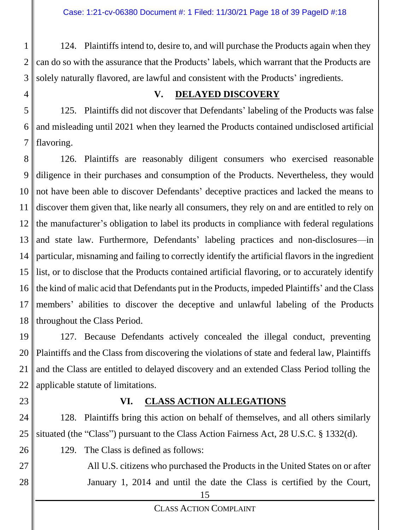1 2 3 124. Plaintiffs intend to, desire to, and will purchase the Products again when they can do so with the assurance that the Products' labels, which warrant that the Products are solely naturally flavored, are lawful and consistent with the Products' ingredients.

4

## **V. DELAYED DISCOVERY**

5 6 7 125. Plaintiffs did not discover that Defendants' labeling of the Products was false and misleading until 2021 when they learned the Products contained undisclosed artificial flavoring.

8 9 10 11 12 13 14 15 16 17 18 126. Plaintiffs are reasonably diligent consumers who exercised reasonable diligence in their purchases and consumption of the Products. Nevertheless, they would not have been able to discover Defendants' deceptive practices and lacked the means to discover them given that, like nearly all consumers, they rely on and are entitled to rely on the manufacturer's obligation to label its products in compliance with federal regulations and state law. Furthermore, Defendants' labeling practices and non-disclosures—in particular, misnaming and failing to correctly identify the artificial flavors in the ingredient list, or to disclose that the Products contained artificial flavoring, or to accurately identify the kind of malic acid that Defendants put in the Products, impeded Plaintiffs' and the Class members' abilities to discover the deceptive and unlawful labeling of the Products throughout the Class Period.

19 20 21 22 127. Because Defendants actively concealed the illegal conduct, preventing Plaintiffs and the Class from discovering the violations of state and federal law, Plaintiffs and the Class are entitled to delayed discovery and an extended Class Period tolling the applicable statute of limitations.

23

# **VI. CLASS ACTION ALLEGATIONS**

24 25 128. Plaintiffs bring this action on behalf of themselves, and all others similarly situated (the "Class") pursuant to the Class Action Fairness Act, 28 U.S.C. § 1332(d).

129. The Class is defined as follows:

- 26
- 27

28

All U.S. citizens who purchased the Products in the United States on or after January 1, 2014 and until the date the Class is certified by the Court,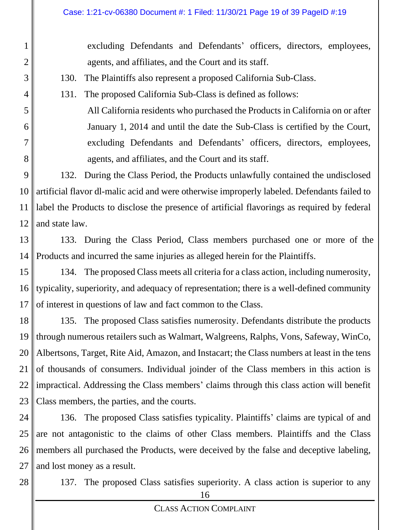excluding Defendants and Defendants' officers, directors, employees, agents, and affiliates, and the Court and its staff.

130. The Plaintiffs also represent a proposed California Sub-Class.

131. The proposed California Sub-Class is defined as follows:

All California residents who purchased the Products in California on or after January 1, 2014 and until the date the Sub-Class is certified by the Court, excluding Defendants and Defendants' officers, directors, employees, agents, and affiliates, and the Court and its staff.

9 10 11 12 132. During the Class Period, the Products unlawfully contained the undisclosed artificial flavor dl-malic acid and were otherwise improperly labeled. Defendants failed to label the Products to disclose the presence of artificial flavorings as required by federal and state law.

13 14 133. During the Class Period, Class members purchased one or more of the Products and incurred the same injuries as alleged herein for the Plaintiffs.

15 16 17 134. The proposed Class meets all criteria for a class action, including numerosity, typicality, superiority, and adequacy of representation; there is a well-defined community of interest in questions of law and fact common to the Class.

18 19 20 21 22 23 135. The proposed Class satisfies numerosity. Defendants distribute the products through numerous retailers such as Walmart, Walgreens, Ralphs, Vons, Safeway, WinCo, Albertsons, Target, Rite Aid, Amazon, and Instacart; the Class numbers at least in the tens of thousands of consumers. Individual joinder of the Class members in this action is impractical. Addressing the Class members' claims through this class action will benefit Class members, the parties, and the courts.

24 25 26 27 136. The proposed Class satisfies typicality. Plaintiffs' claims are typical of and are not antagonistic to the claims of other Class members. Plaintiffs and the Class members all purchased the Products, were deceived by the false and deceptive labeling, and lost money as a result.

28

1

2

3

4

5

6

7

8

137. The proposed Class satisfies superiority. A class action is superior to any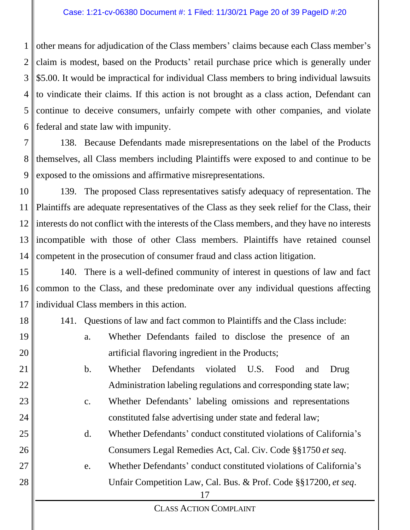1 2 3 4 5 6 other means for adjudication of the Class members' claims because each Class member's claim is modest, based on the Products' retail purchase price which is generally under \$5.00. It would be impractical for individual Class members to bring individual lawsuits to vindicate their claims. If this action is not brought as a class action, Defendant can continue to deceive consumers, unfairly compete with other companies, and violate federal and state law with impunity.

7 8 9 138. Because Defendants made misrepresentations on the label of the Products themselves, all Class members including Plaintiffs were exposed to and continue to be exposed to the omissions and affirmative misrepresentations.

10 11 12 13 14 139. The proposed Class representatives satisfy adequacy of representation. The Plaintiffs are adequate representatives of the Class as they seek relief for the Class, their interests do not conflict with the interests of the Class members, and they have no interests incompatible with those of other Class members. Plaintiffs have retained counsel competent in the prosecution of consumer fraud and class action litigation.

15 16 17 140. There is a well-defined community of interest in questions of law and fact common to the Class, and these predominate over any individual questions affecting individual Class members in this action.

18

19

20

21

22

23

24

25

26

27

28

141. Questions of law and fact common to Plaintiffs and the Class include:

- a. Whether Defendants failed to disclose the presence of an artificial flavoring ingredient in the Products;
	- b. Whether Defendants violated U.S. Food and Drug Administration labeling regulations and corresponding state law;
	- c. Whether Defendants' labeling omissions and representations constituted false advertising under state and federal law;
		- d. Whether Defendants' conduct constituted violations of California's Consumers Legal Remedies Act, Cal. Civ. Code §§1750 *et seq*.
	- e. Whether Defendants' conduct constituted violations of California's Unfair Competition Law, Cal. Bus. & Prof. Code §§17200, *et seq*.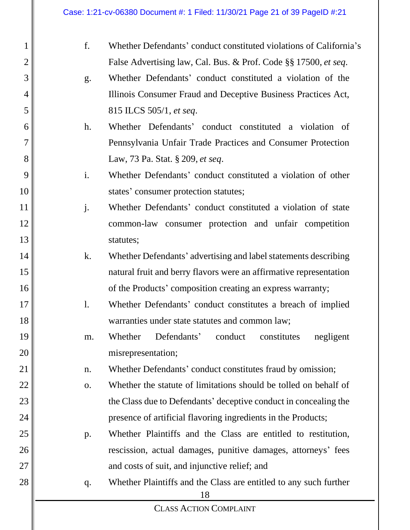| f. |                                                                         |  |
|----|-------------------------------------------------------------------------|--|
|    | Whether Defendants' conduct constituted violations of California's      |  |
|    | False Advertising law, Cal. Bus. & Prof. Code §§ 17500, et seq.         |  |
| g. | Whether Defendants' conduct constituted a violation of the              |  |
|    | Illinois Consumer Fraud and Deceptive Business Practices Act,           |  |
|    | 815 ILCS 505/1, et seq.                                                 |  |
| h. | Whether Defendants' conduct constituted a violation of                  |  |
|    | Pennsylvania Unfair Trade Practices and Consumer Protection             |  |
|    | Law, 73 Pa. Stat. § 209, et seq.                                        |  |
| i. | Whether Defendants' conduct constituted a violation of other            |  |
|    | states' consumer protection statutes;                                   |  |
| j. | Whether Defendants' conduct constituted a violation of state            |  |
|    | common-law consumer protection and unfair competition                   |  |
|    | statutes;                                                               |  |
| k. | Whether Defendants' advertising and label statements describing         |  |
|    | natural fruit and berry flavors were an affirmative representation      |  |
|    | of the Products' composition creating an express warranty;              |  |
| 1. | Whether Defendants' conduct constitutes a breach of implied             |  |
|    | warranties under state statutes and common law;                         |  |
| m. | Defendants'<br>conduct<br>Whether<br>constitutes<br>negligent           |  |
|    | misrepresentation;                                                      |  |
| n. | Whether Defendants' conduct constitutes fraud by omission;              |  |
| 0. | Whether the statute of limitations should be tolled on behalf of        |  |
|    | the Class due to Defendants' deceptive conduct in concealing the        |  |
|    | presence of artificial flavoring ingredients in the Products;           |  |
| p. | Whether Plaintiffs and the Class are entitled to restitution,           |  |
|    | rescission, actual damages, punitive damages, attorneys' fees           |  |
|    | and costs of suit, and injunctive relief; and                           |  |
| q. | Whether Plaintiffs and the Class are entitled to any such further<br>18 |  |
|    |                                                                         |  |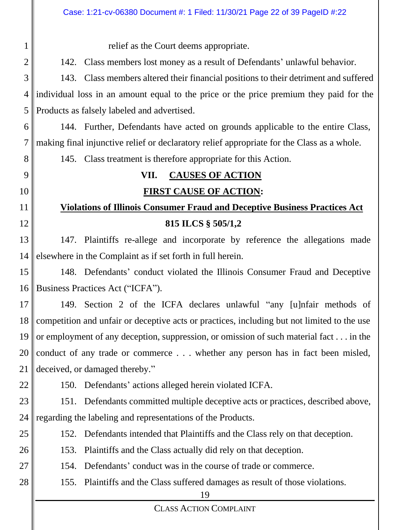#### 19 CLASS ACTION COMPLAINT 1 2 3 4 5 6 7 8 9 10 11 12 13 14 15 16 17 18 19 20 21 22 23 24 25 26 27 28 relief as the Court deems appropriate. 142. Class members lost money as a result of Defendants' unlawful behavior. 143. Class members altered their financial positions to their detriment and suffered individual loss in an amount equal to the price or the price premium they paid for the Products as falsely labeled and advertised. 144. Further, Defendants have acted on grounds applicable to the entire Class, making final injunctive relief or declaratory relief appropriate for the Class as a whole. 145. Class treatment is therefore appropriate for this Action. **VII. CAUSES OF ACTION FIRST CAUSE OF ACTION: Violations of Illinois Consumer Fraud and Deceptive Business Practices Act 815 ILCS § 505/1,2** 147. Plaintiffs re-allege and incorporate by reference the allegations made elsewhere in the Complaint as if set forth in full herein. 148. Defendants' conduct violated the Illinois Consumer Fraud and Deceptive Business Practices Act ("ICFA"). 149. Section 2 of the ICFA declares unlawful "any [u]nfair methods of competition and unfair or deceptive acts or practices, including but not limited to the use or employment of any deception, suppression, or omission of such material fact . . . in the conduct of any trade or commerce . . . whether any person has in fact been misled, deceived, or damaged thereby." 150. Defendants' actions alleged herein violated ICFA. 151. Defendants committed multiple deceptive acts or practices, described above, regarding the labeling and representations of the Products. 152. Defendants intended that Plaintiffs and the Class rely on that deception. 153. Plaintiffs and the Class actually did rely on that deception. 154. Defendants' conduct was in the course of trade or commerce. 155. Plaintiffs and the Class suffered damages as result of those violations. Case: 1:21-cv-06380 Document #: 1 Filed: 11/30/21 Page 22 of 39 PageID #:22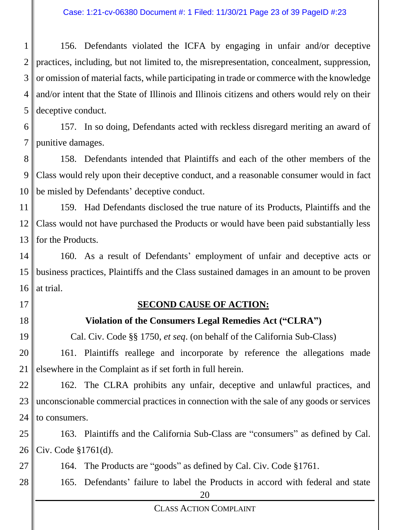1 2 3 4 5 156. Defendants violated the ICFA by engaging in unfair and/or deceptive practices, including, but not limited to, the misrepresentation, concealment, suppression, or omission of material facts, while participating in trade or commerce with the knowledge and/or intent that the State of Illinois and Illinois citizens and others would rely on their deceptive conduct.

6 7 157. In so doing, Defendants acted with reckless disregard meriting an award of punitive damages.

8 9 10 158. Defendants intended that Plaintiffs and each of the other members of the Class would rely upon their deceptive conduct, and a reasonable consumer would in fact be misled by Defendants' deceptive conduct.

11 12 13 159. Had Defendants disclosed the true nature of its Products, Plaintiffs and the Class would not have purchased the Products or would have been paid substantially less for the Products.

14 15 16 160. As a result of Defendants' employment of unfair and deceptive acts or business practices, Plaintiffs and the Class sustained damages in an amount to be proven at trial.

- 17
- 18

19

### **SECOND CAUSE OF ACTION:**

### **Violation of the Consumers Legal Remedies Act ("CLRA")**

Cal. Civ. Code §§ 1750, *et seq*. (on behalf of the California Sub-Class)

20 21 161. Plaintiffs reallege and incorporate by reference the allegations made elsewhere in the Complaint as if set forth in full herein.

22 23 24 162. The CLRA prohibits any unfair, deceptive and unlawful practices, and unconscionable commercial practices in connection with the sale of any goods or services to consumers.

25 26 163. Plaintiffs and the California Sub-Class are "consumers" as defined by Cal. Civ. Code §1761(d).

27 164. The Products are "goods" as defined by Cal. Civ. Code §1761.

28 165. Defendants' failure to label the Products in accord with federal and state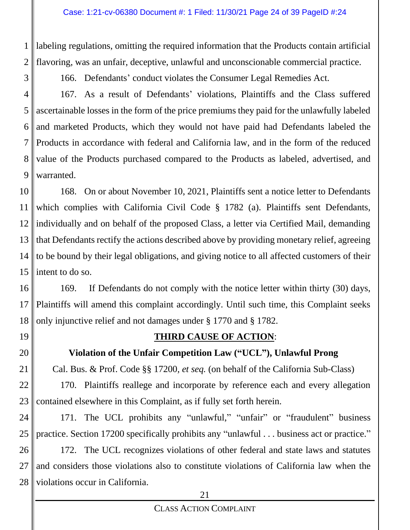1 2 labeling regulations, omitting the required information that the Products contain artificial flavoring, was an unfair, deceptive, unlawful and unconscionable commercial practice.

166. Defendants' conduct violates the Consumer Legal Remedies Act.

4 5 6 7 8 9 167. As a result of Defendants' violations, Plaintiffs and the Class suffered ascertainable losses in the form of the price premiums they paid for the unlawfully labeled and marketed Products, which they would not have paid had Defendants labeled the Products in accordance with federal and California law, and in the form of the reduced value of the Products purchased compared to the Products as labeled, advertised, and warranted.

10 11 12 13 14 15 168. On or about November 10, 2021, Plaintiffs sent a notice letter to Defendants which complies with California Civil Code § 1782 (a). Plaintiffs sent Defendants, individually and on behalf of the proposed Class, a letter via Certified Mail, demanding that Defendants rectify the actions described above by providing monetary relief, agreeing to be bound by their legal obligations, and giving notice to all affected customers of their intent to do so.

16 17 18 169. If Defendants do not comply with the notice letter within thirty (30) days, Plaintiffs will amend this complaint accordingly. Until such time, this Complaint seeks only injunctive relief and not damages under § 1770 and § 1782.

19

20

21

3

# **THIRD CAUSE OF ACTION**:

# **Violation of the Unfair Competition Law ("UCL"), Unlawful Prong**

Cal. Bus. & Prof. Code §§ 17200*, et seq.* (on behalf of the California Sub-Class)

22 23 170. Plaintiffs reallege and incorporate by reference each and every allegation contained elsewhere in this Complaint, as if fully set forth herein.

24 25 171. The UCL prohibits any "unlawful," "unfair" or "fraudulent" business practice. Section 17200 specifically prohibits any "unlawful . . . business act or practice."

26 27 28 172. The UCL recognizes violations of other federal and state laws and statutes and considers those violations also to constitute violations of California law when the violations occur in California.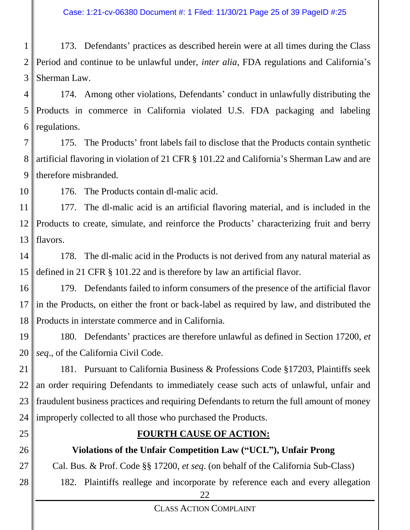1 2 3 173. Defendants' practices as described herein were at all times during the Class Period and continue to be unlawful under, *inter alia*, FDA regulations and California's Sherman Law.

4 5 6 174. Among other violations, Defendants' conduct in unlawfully distributing the Products in commerce in California violated U.S. FDA packaging and labeling regulations.

7 8 9 175. The Products' front labels fail to disclose that the Products contain synthetic artificial flavoring in violation of 21 CFR § 101.22 and California's Sherman Law and are therefore misbranded.

10 176. The Products contain dl-malic acid.

11 12 13 177. The dl-malic acid is an artificial flavoring material, and is included in the Products to create, simulate, and reinforce the Products' characterizing fruit and berry flavors.

14 15 178. The dl-malic acid in the Products is not derived from any natural material as defined in 21 CFR § 101.22 and is therefore by law an artificial flavor.

16 17 18 179. Defendants failed to inform consumers of the presence of the artificial flavor in the Products, on either the front or back-label as required by law, and distributed the Products in interstate commerce and in California.

19 20 180. Defendants' practices are therefore unlawful as defined in Section 17200, *et seq*., of the California Civil Code.

21 22 23 24 181. Pursuant to California Business & Professions Code §17203, Plaintiffs seek an order requiring Defendants to immediately cease such acts of unlawful, unfair and fraudulent business practices and requiring Defendants to return the full amount of money improperly collected to all those who purchased the Products.

25

26

27

28

# **FOURTH CAUSE OF ACTION:**

# **Violations of the Unfair Competition Law ("UCL"), Unfair Prong**

Cal. Bus. & Prof. Code §§ 17200, *et seq*. (on behalf of the California Sub-Class)

182. Plaintiffs reallege and incorporate by reference each and every allegation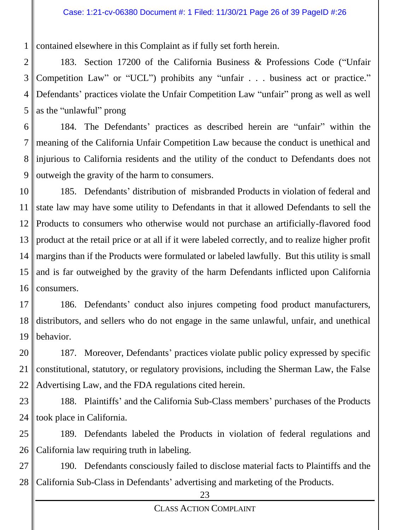1 contained elsewhere in this Complaint as if fully set forth herein.

2 3 4 5 183. Section 17200 of the California Business & Professions Code ("Unfair Competition Law" or "UCL") prohibits any "unfair . . . business act or practice." Defendants' practices violate the Unfair Competition Law "unfair" prong as well as well as the "unlawful" prong

6 7 8 9 184. The Defendants' practices as described herein are "unfair" within the meaning of the California Unfair Competition Law because the conduct is unethical and injurious to California residents and the utility of the conduct to Defendants does not outweigh the gravity of the harm to consumers.

10 11 12 13 14 15 16 185. Defendants' distribution of misbranded Products in violation of federal and state law may have some utility to Defendants in that it allowed Defendants to sell the Products to consumers who otherwise would not purchase an artificially-flavored food product at the retail price or at all if it were labeled correctly, and to realize higher profit margins than if the Products were formulated or labeled lawfully. But this utility is small and is far outweighed by the gravity of the harm Defendants inflicted upon California consumers.

17 18 19 186. Defendants' conduct also injures competing food product manufacturers, distributors, and sellers who do not engage in the same unlawful, unfair, and unethical behavior.

20 21 22 187. Moreover, Defendants' practices violate public policy expressed by specific constitutional, statutory, or regulatory provisions, including the Sherman Law, the False Advertising Law, and the FDA regulations cited herein.

23 24 188. Plaintiffs' and the California Sub-Class members' purchases of the Products took place in California.

25 26 189. Defendants labeled the Products in violation of federal regulations and California law requiring truth in labeling.

27 28 190. Defendants consciously failed to disclose material facts to Plaintiffs and the California Sub-Class in Defendants' advertising and marketing of the Products.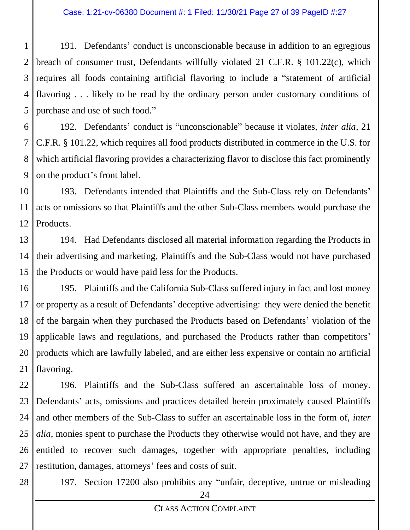#### Case: 1:21-cv-06380 Document #: 1 Filed: 11/30/21 Page 27 of 39 PageID #:27

1 2 3 4 5 191. Defendants' conduct is unconscionable because in addition to an egregious breach of consumer trust, Defendants willfully violated 21 C.F.R. § 101.22(c), which requires all foods containing artificial flavoring to include a "statement of artificial flavoring . . . likely to be read by the ordinary person under customary conditions of purchase and use of such food."

6 7 8 9 192. Defendants' conduct is "unconscionable" because it violates, *inter alia*, 21 C.F.R. § 101.22, which requires all food products distributed in commerce in the U.S. for which artificial flavoring provides a characterizing flavor to disclose this fact prominently on the product's front label.

10 11 12 193. Defendants intended that Plaintiffs and the Sub-Class rely on Defendants' acts or omissions so that Plaintiffs and the other Sub-Class members would purchase the Products.

13 14 15 194. Had Defendants disclosed all material information regarding the Products in their advertising and marketing, Plaintiffs and the Sub-Class would not have purchased the Products or would have paid less for the Products.

16 17 18 19 20 21 195. Plaintiffs and the California Sub-Class suffered injury in fact and lost money or property as a result of Defendants' deceptive advertising: they were denied the benefit of the bargain when they purchased the Products based on Defendants' violation of the applicable laws and regulations, and purchased the Products rather than competitors' products which are lawfully labeled, and are either less expensive or contain no artificial flavoring.

22 23 24 25 26 27 196. Plaintiffs and the Sub-Class suffered an ascertainable loss of money. Defendants' acts, omissions and practices detailed herein proximately caused Plaintiffs and other members of the Sub-Class to suffer an ascertainable loss in the form of, *inter alia*, monies spent to purchase the Products they otherwise would not have, and they are entitled to recover such damages, together with appropriate penalties, including restitution, damages, attorneys' fees and costs of suit.

28

197. Section 17200 also prohibits any "unfair, deceptive, untrue or misleading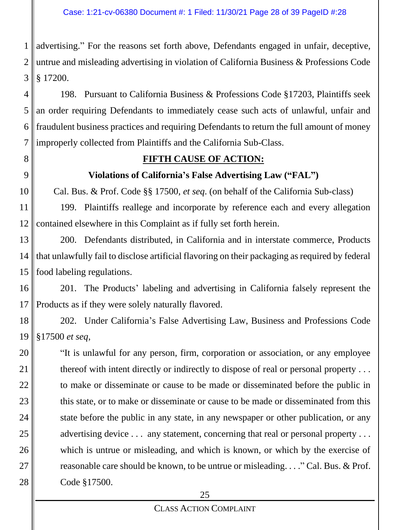1 2 3 advertising." For the reasons set forth above, Defendants engaged in unfair, deceptive, untrue and misleading advertising in violation of California Business & Professions Code § 17200.

4 5 6 7 198. Pursuant to California Business & Professions Code §17203, Plaintiffs seek an order requiring Defendants to immediately cease such acts of unlawful, unfair and fraudulent business practices and requiring Defendants to return the full amount of money improperly collected from Plaintiffs and the California Sub-Class.

8

9

#### **FIFTH CAUSE OF ACTION:**

#### **Violations of California's False Advertising Law ("FAL")**

10 Cal. Bus. & Prof. Code §§ 17500, *et seq*. (on behalf of the California Sub-class)

11 12 199. Plaintiffs reallege and incorporate by reference each and every allegation contained elsewhere in this Complaint as if fully set forth herein.

13 14 15 200. Defendants distributed, in California and in interstate commerce, Products that unlawfully fail to disclose artificial flavoring on their packaging as required by federal food labeling regulations.

16 17 201. The Products' labeling and advertising in California falsely represent the Products as if they were solely naturally flavored.

18 19 202. Under California's False Advertising Law, Business and Professions Code §17500 *et seq*,

20 21 22 23 24 25 26 27 28 "It is unlawful for any person, firm, corporation or association, or any employee thereof with intent directly or indirectly to dispose of real or personal property . . . to make or disseminate or cause to be made or disseminated before the public in this state, or to make or disseminate or cause to be made or disseminated from this state before the public in any state, in any newspaper or other publication, or any advertising device . . . any statement, concerning that real or personal property . . . which is untrue or misleading, and which is known, or which by the exercise of reasonable care should be known, to be untrue or misleading. . . ." Cal. Bus. & Prof. Code §17500.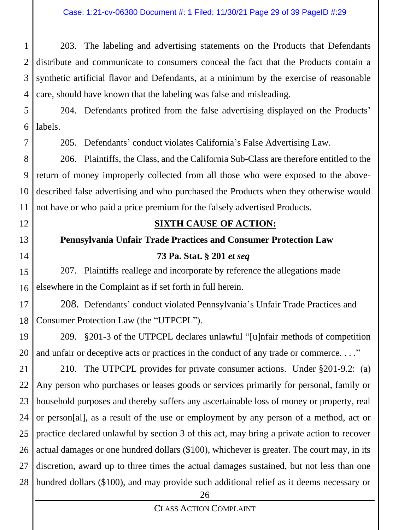1 2 3 4 203. The labeling and advertising statements on the Products that Defendants distribute and communicate to consumers conceal the fact that the Products contain a synthetic artificial flavor and Defendants, at a minimum by the exercise of reasonable care, should have known that the labeling was false and misleading.

- 5 6 204. Defendants profited from the false advertising displayed on the Products' labels.
	- 205. Defendants' conduct violates California's False Advertising Law.

8 9 10 11 206. Plaintiffs, the Class, and the California Sub-Class are therefore entitled to the return of money improperly collected from all those who were exposed to the abovedescribed false advertising and who purchased the Products when they otherwise would not have or who paid a price premium for the falsely advertised Products.

12

7

- 
- 13
- 14

#### **SIXTH CAUSE OF ACTION:**

# **Pennsylvania Unfair Trade Practices and Consumer Protection Law 73 Pa. Stat. § 201** *et seq*

15 16 207. Plaintiffs reallege and incorporate by reference the allegations made elsewhere in the Complaint as if set forth in full herein.

17 18 208. Defendants' conduct violated Pennsylvania's Unfair Trade Practices and Consumer Protection Law (the "UTPCPL").

19 20 209. §201-3 of the UTPCPL declares unlawful "[u]nfair methods of competition and unfair or deceptive acts or practices in the conduct of any trade or commerce. . . ."

21 22 23 24 25 26 27 28 210. The UTPCPL provides for private consumer actions. Under §201-9.2: (a) Any person who purchases or leases goods or services primarily for personal, family or household purposes and thereby suffers any ascertainable loss of money or property, real or person[al], as a result of the use or employment by any person of a method, act or practice declared unlawful by section 3 of this act, may bring a private action to recover actual damages or one hundred dollars (\$100), whichever is greater. The court may, in its discretion, award up to three times the actual damages sustained, but not less than one hundred dollars (\$100), and may provide such additional relief as it deems necessary or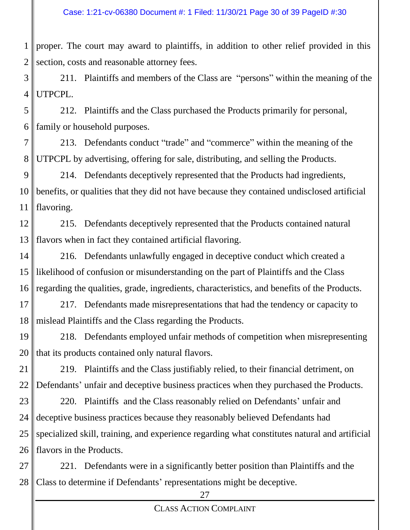1 2 proper. The court may award to plaintiffs, in addition to other relief provided in this section, costs and reasonable attorney fees.

3 4 211. Plaintiffs and members of the Class are "persons" within the meaning of the UTPCPL.

5 6 212. Plaintiffs and the Class purchased the Products primarily for personal, family or household purposes.

7 8 213. Defendants conduct "trade" and "commerce" within the meaning of the UTPCPL by advertising, offering for sale, distributing, and selling the Products.

9 10 11 214. Defendants deceptively represented that the Products had ingredients, benefits, or qualities that they did not have because they contained undisclosed artificial flavoring.

12 13 215. Defendants deceptively represented that the Products contained natural flavors when in fact they contained artificial flavoring.

14 15 16 216. Defendants unlawfully engaged in deceptive conduct which created a likelihood of confusion or misunderstanding on the part of Plaintiffs and the Class regarding the qualities, grade, ingredients, characteristics, and benefits of the Products.

17 18 217. Defendants made misrepresentations that had the tendency or capacity to mislead Plaintiffs and the Class regarding the Products.

19 20 218. Defendants employed unfair methods of competition when misrepresenting that its products contained only natural flavors.

21 22 219. Plaintiffs and the Class justifiably relied, to their financial detriment, on Defendants' unfair and deceptive business practices when they purchased the Products.

23 24 25 26 220. Plaintiffs and the Class reasonably relied on Defendants' unfair and deceptive business practices because they reasonably believed Defendants had specialized skill, training, and experience regarding what constitutes natural and artificial flavors in the Products.

27 28 221. Defendants were in a significantly better position than Plaintiffs and the Class to determine if Defendants' representations might be deceptive.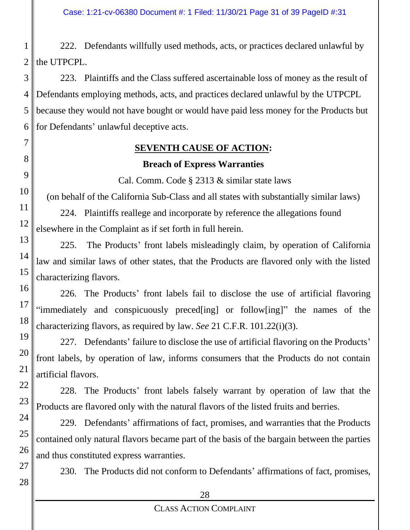1 2 222. Defendants willfully used methods, acts, or practices declared unlawful by the UTPCPL.

3 4 5 6 223. Plaintiffs and the Class suffered ascertainable loss of money as the result of Defendants employing methods, acts, and practices declared unlawful by the UTPCPL because they would not have bought or would have paid less money for the Products but for Defendants' unlawful deceptive acts.

# **SEVENTH CAUSE OF ACTION: Breach of Express Warranties**

Cal. Comm. Code § 2313 & similar state laws

(on behalf of the California Sub-Class and all states with substantially similar laws)

224. Plaintiffs reallege and incorporate by reference the allegations found elsewhere in the Complaint as if set forth in full herein.

7

8

9

10

11

12

13

14

15

16

17

18

19

20

21

22

23

24

25

26

27

28

225. The Products' front labels misleadingly claim, by operation of California law and similar laws of other states, that the Products are flavored only with the listed characterizing flavors.

226. The Products' front labels fail to disclose the use of artificial flavoring "immediately and conspicuously preced[ing] or follow[ing]" the names of the characterizing flavors, as required by law. *See* 21 C.F.R. 101.22(i)(3).

227. Defendants' failure to disclose the use of artificial flavoring on the Products' front labels, by operation of law, informs consumers that the Products do not contain artificial flavors.

228. The Products' front labels falsely warrant by operation of law that the Products are flavored only with the natural flavors of the listed fruits and berries.

229. Defendants' affirmations of fact, promises, and warranties that the Products contained only natural flavors became part of the basis of the bargain between the parties and thus constituted express warranties.

230. The Products did not conform to Defendants' affirmations of fact, promises,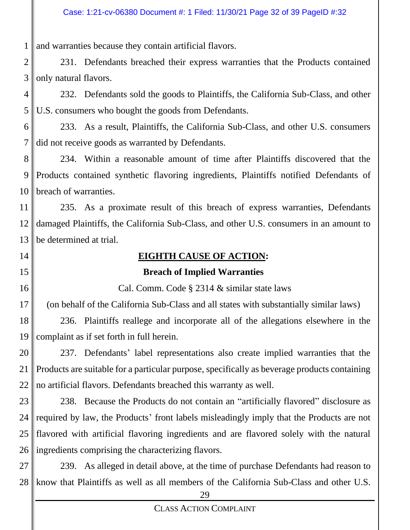1 and warranties because they contain artificial flavors.

2 3 231. Defendants breached their express warranties that the Products contained only natural flavors.

4 5 232. Defendants sold the goods to Plaintiffs, the California Sub-Class, and other U.S. consumers who bought the goods from Defendants.

6 7 233. As a result, Plaintiffs, the California Sub-Class, and other U.S. consumers did not receive goods as warranted by Defendants.

8 9 10 234. Within a reasonable amount of time after Plaintiffs discovered that the Products contained synthetic flavoring ingredients, Plaintiffs notified Defendants of breach of warranties.

11 12 13 235. As a proximate result of this breach of express warranties, Defendants damaged Plaintiffs, the California Sub-Class, and other U.S. consumers in an amount to be determined at trial.

- 14
- 15

16

# **EIGHTH CAUSE OF ACTION:**

# **Breach of Implied Warranties**

Cal. Comm. Code § 2314 & similar state laws

17 (on behalf of the California Sub-Class and all states with substantially similar laws)

18 19 236. Plaintiffs reallege and incorporate all of the allegations elsewhere in the complaint as if set forth in full herein.

20 21 22 237. Defendants' label representations also create implied warranties that the Products are suitable for a particular purpose, specifically as beverage products containing no artificial flavors. Defendants breached this warranty as well.

23 24 25 26 238. Because the Products do not contain an "artificially flavored" disclosure as required by law, the Products' front labels misleadingly imply that the Products are not flavored with artificial flavoring ingredients and are flavored solely with the natural ingredients comprising the characterizing flavors.

27 28 239. As alleged in detail above, at the time of purchase Defendants had reason to know that Plaintiffs as well as all members of the California Sub-Class and other U.S.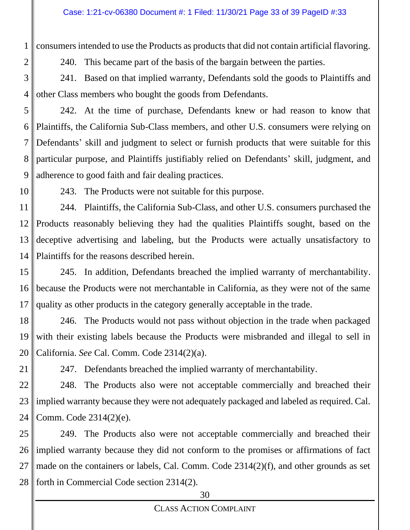1 consumers intended to use the Products as products that did not contain artificial flavoring.

240. This became part of the basis of the bargain between the parties.

3 4 241. Based on that implied warranty, Defendants sold the goods to Plaintiffs and other Class members who bought the goods from Defendants.

5 6 7 8 9 242. At the time of purchase, Defendants knew or had reason to know that Plaintiffs, the California Sub-Class members, and other U.S. consumers were relying on Defendants' skill and judgment to select or furnish products that were suitable for this particular purpose, and Plaintiffs justifiably relied on Defendants' skill, judgment, and adherence to good faith and fair dealing practices.

10

2

243. The Products were not suitable for this purpose.

11 12 13 14 244. Plaintiffs, the California Sub-Class, and other U.S. consumers purchased the Products reasonably believing they had the qualities Plaintiffs sought, based on the deceptive advertising and labeling, but the Products were actually unsatisfactory to Plaintiffs for the reasons described herein.

15 16 17 245. In addition, Defendants breached the implied warranty of merchantability. because the Products were not merchantable in California, as they were not of the same quality as other products in the category generally acceptable in the trade.

18 19 20 246. The Products would not pass without objection in the trade when packaged with their existing labels because the Products were misbranded and illegal to sell in California. *See* Cal. Comm. Code 2314(2)(a).

21 247. Defendants breached the implied warranty of merchantability.

22 23 24 248. The Products also were not acceptable commercially and breached their implied warranty because they were not adequately packaged and labeled as required. Cal. Comm. Code 2314(2)(e).

25 26 27 28 249. The Products also were not acceptable commercially and breached their implied warranty because they did not conform to the promises or affirmations of fact made on the containers or labels, Cal. Comm. Code 2314(2)(f), and other grounds as set forth in Commercial Code section 2314(2).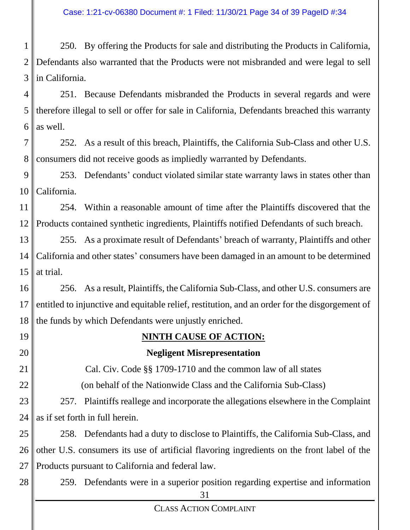1 2 3 250. By offering the Products for sale and distributing the Products in California, Defendants also warranted that the Products were not misbranded and were legal to sell in California.

4 5 6 251. Because Defendants misbranded the Products in several regards and were therefore illegal to sell or offer for sale in California, Defendants breached this warranty as well.

7 8 252. As a result of this breach, Plaintiffs, the California Sub-Class and other U.S. consumers did not receive goods as impliedly warranted by Defendants.

9 10 253. Defendants' conduct violated similar state warranty laws in states other than California.

11 12 254. Within a reasonable amount of time after the Plaintiffs discovered that the Products contained synthetic ingredients, Plaintiffs notified Defendants of such breach.

13 14 15 255. As a proximate result of Defendants' breach of warranty, Plaintiffs and other California and other states' consumers have been damaged in an amount to be determined at trial.

16 17 18 256. As a result, Plaintiffs, the California Sub-Class, and other U.S. consumers are entitled to injunctive and equitable relief, restitution, and an order for the disgorgement of the funds by which Defendants were unjustly enriched.

19

20

### **NINTH CAUSE OF ACTION:**

#### **Negligent Misrepresentation**

21 22 Cal. Civ. Code §§ 1709-1710 and the common law of all states (on behalf of the Nationwide Class and the California Sub-Class)

23 24 257. Plaintiffs reallege and incorporate the allegations elsewhere in the Complaint as if set forth in full herein.

25 26 27 258. Defendants had a duty to disclose to Plaintiffs, the California Sub-Class, and other U.S. consumers its use of artificial flavoring ingredients on the front label of the Products pursuant to California and federal law.

28 259. Defendants were in a superior position regarding expertise and information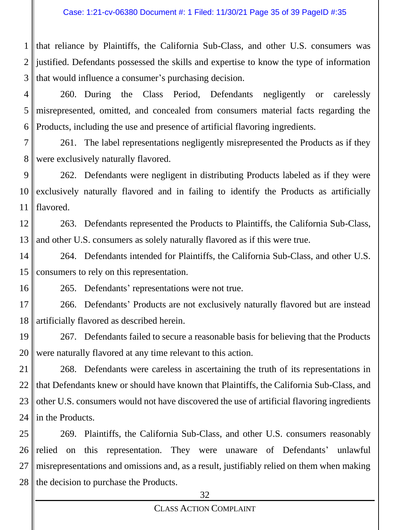1 2 3 that reliance by Plaintiffs, the California Sub-Class, and other U.S. consumers was justified. Defendants possessed the skills and expertise to know the type of information that would influence a consumer's purchasing decision.

4 5 6 260. During the Class Period, Defendants negligently or carelessly misrepresented, omitted, and concealed from consumers material facts regarding the Products, including the use and presence of artificial flavoring ingredients.

7 8 261. The label representations negligently misrepresented the Products as if they were exclusively naturally flavored.

9 10 11 262. Defendants were negligent in distributing Products labeled as if they were exclusively naturally flavored and in failing to identify the Products as artificially flavored.

12 13 263. Defendants represented the Products to Plaintiffs, the California Sub-Class, and other U.S. consumers as solely naturally flavored as if this were true.

14 15 264. Defendants intended for Plaintiffs, the California Sub-Class, and other U.S. consumers to rely on this representation.

16 265. Defendants' representations were not true.

17 18 266. Defendants' Products are not exclusively naturally flavored but are instead artificially flavored as described herein.

19 20 267. Defendants failed to secure a reasonable basis for believing that the Products were naturally flavored at any time relevant to this action.

21 22 23 24 268. Defendants were careless in ascertaining the truth of its representations in that Defendants knew or should have known that Plaintiffs, the California Sub-Class, and other U.S. consumers would not have discovered the use of artificial flavoring ingredients in the Products.

25 26 27 28 269. Plaintiffs, the California Sub-Class, and other U.S. consumers reasonably relied on this representation. They were unaware of Defendants' unlawful misrepresentations and omissions and, as a result, justifiably relied on them when making the decision to purchase the Products.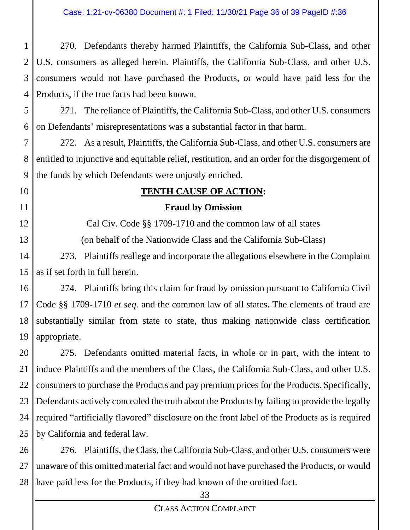1 2 3 4 270. Defendants thereby harmed Plaintiffs, the California Sub-Class, and other U.S. consumers as alleged herein. Plaintiffs, the California Sub-Class, and other U.S. consumers would not have purchased the Products, or would have paid less for the Products, if the true facts had been known.

5 6 271. The reliance of Plaintiffs, the California Sub-Class, and other U.S. consumers on Defendants' misrepresentations was a substantial factor in that harm.

7 8 9 272. As a result, Plaintiffs, the California Sub-Class, and other U.S. consumers are entitled to injunctive and equitable relief, restitution, and an order for the disgorgement of the funds by which Defendants were unjustly enriched.

10

11

12

13

# **TENTH CAUSE OF ACTION:**

## **Fraud by Omission**

Cal Civ. Code §§ 1709-1710 and the common law of all states (on behalf of the Nationwide Class and the California Sub-Class)

14 15 273. Plaintiffs reallege and incorporate the allegations elsewhere in the Complaint as if set forth in full herein.

16 17 18 19 274. Plaintiffs bring this claim for fraud by omission pursuant to California Civil Code §§ 1709-1710 *et seq.* and the common law of all states. The elements of fraud are substantially similar from state to state, thus making nationwide class certification appropriate.

20 21 22 23 24 25 275. Defendants omitted material facts, in whole or in part, with the intent to induce Plaintiffs and the members of the Class, the California Sub-Class, and other U.S. consumers to purchase the Products and pay premium prices for the Products. Specifically, Defendants actively concealed the truth about the Products by failing to provide the legally required "artificially flavored" disclosure on the front label of the Products as is required by California and federal law.

26 27 28 276. Plaintiffs, the Class, the California Sub-Class, and other U.S. consumers were unaware of this omitted material fact and would not have purchased the Products, or would have paid less for the Products, if they had known of the omitted fact.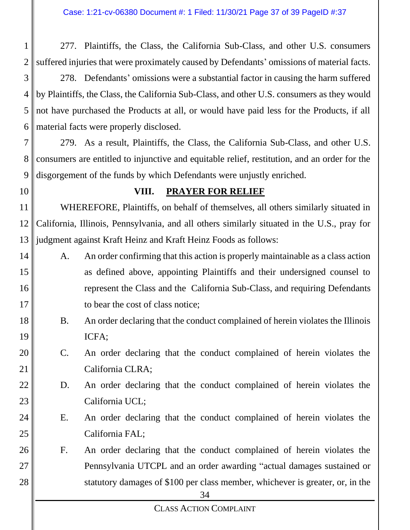1 2 277. Plaintiffs, the Class, the California Sub-Class, and other U.S. consumers suffered injuries that were proximately caused by Defendants' omissions of material facts.

3 4 5 6 278. Defendants' omissions were a substantial factor in causing the harm suffered by Plaintiffs, the Class, the California Sub-Class, and other U.S. consumers as they would not have purchased the Products at all, or would have paid less for the Products, if all material facts were properly disclosed.

7 8 9 279. As a result, Plaintiffs, the Class, the California Sub-Class, and other U.S. consumers are entitled to injunctive and equitable relief, restitution, and an order for the disgorgement of the funds by which Defendants were unjustly enriched.

10

18

19

21

24

25

26

27

28

#### **VIII. PRAYER FOR RELIEF**

11 12 13 WHEREFORE, Plaintiffs, on behalf of themselves, all others similarly situated in California, Illinois, Pennsylvania, and all others similarly situated in the U.S., pray for judgment against Kraft Heinz and Kraft Heinz Foods as follows:

- 14 15 16 17 A. An order confirming that this action is properly maintainable as a class action as defined above, appointing Plaintiffs and their undersigned counsel to represent the Class and the California Sub-Class, and requiring Defendants to bear the cost of class notice;
	- B. An order declaring that the conduct complained of herein violates the Illinois ICFA;
- 20 C. An order declaring that the conduct complained of herein violates the California CLRA;
- 22 23 D. An order declaring that the conduct complained of herein violates the California UCL;
	- E. An order declaring that the conduct complained of herein violates the California FAL;
	- F. An order declaring that the conduct complained of herein violates the Pennsylvania UTCPL and an order awarding "actual damages sustained or statutory damages of \$100 per class member, whichever is greater, or, in the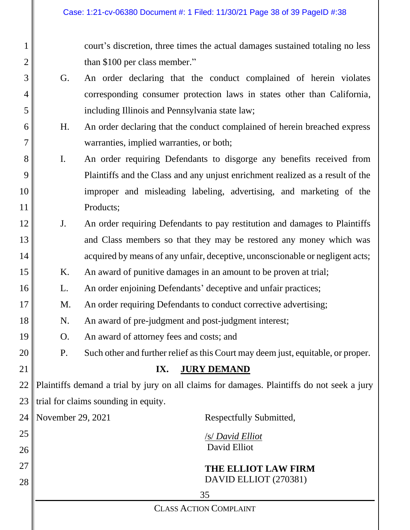court's discretion, three times the actual damages sustained totaling no less than \$100 per class member."

- G. An order declaring that the conduct complained of herein violates corresponding consumer protection laws in states other than California, including Illinois and Pennsylvania state law;
- H. An order declaring that the conduct complained of herein breached express warranties, implied warranties, or both;
- I. An order requiring Defendants to disgorge any benefits received from Plaintiffs and the Class and any unjust enrichment realized as a result of the improper and misleading labeling, advertising, and marketing of the Products;
- J. An order requiring Defendants to pay restitution and damages to Plaintiffs and Class members so that they may be restored any money which was acquired by means of any unfair, deceptive, unconscionable or negligent acts;
- 15 K. An award of punitive damages in an amount to be proven at trial;
	- L. An order enjoining Defendants' deceptive and unfair practices;
	- M. An order requiring Defendants to conduct corrective advertising;
- 18 N. An award of pre-judgment and post-judgment interest;
	- O. An award of attorney fees and costs; and

1

2

3

4

5

6

7

8

9

10

11

12

13

14

16

17

19

20

21

P. Such other and further relief as this Court may deem just, equitable, or proper.

### **IX. JURY DEMAND**

22 23 Plaintiffs demand a trial by jury on all claims for damages. Plaintiffs do not seek a jury trial for claims sounding in equity.

|    | 24   November 29, 2021 | Respectfully Submitted, |
|----|------------------------|-------------------------|
| 25 |                        | /s/ David Elliot        |
| 26 |                        | David Elliot            |
| 27 |                        | THE ELLIOT LAW FIRM     |
| 28 |                        | DAVID ELLIOT (270381)   |
|    |                        | 35                      |
|    |                        |                         |

CLASS ACTION COMPLAINT